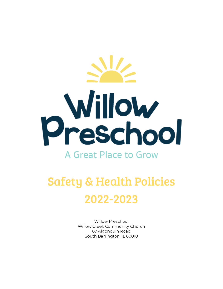# Willow Preschool

### A Great Place to Grow

## Safety & Health Policies 2022-2023

Willow Preschool Willow Creek Community Church 67 Algonquin Road South Barrington, IL 60010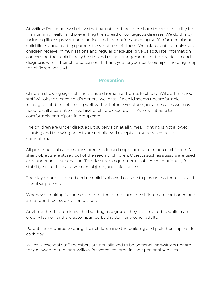At Willow Preschool, we believe that parents and teachers share the responsibility for maintaining health and preventing the spread of contagious diseases. We do this by including illness prevention practices in daily routines, keeping staff informed about child illness, and alerting parents to symptoms of illness. We ask parents to make sure children receive immunizations and regular checkups, give us accurate information concerning their child's daily health, and make arrangements for timely pickup and diagnosis when their child becomes ill. Thank you for your partnership in helping keep the children healthy!

#### Prevention

Children showing signs of illness should remain at home. Each day, Willow Preschool staff will observe each child's general wellness. If a child seems uncomfortable, lethargic, irritable, not feeling well, without other symptoms, in some cases we may need to call a parent to have his/her child picked up if he/she is not able to comfortably participate in group care.

The children are under direct adult supervision at all times. Fighting is not allowed; running and throwing objects are not allowed except as a supervised part of curriculum.

All poisonous substances are stored in a locked cupboard out of reach of children. All sharp objects are stored out of the reach of children. Objects such as scissors are used only under adult supervision. The classroom equipment is observed continually for stability, smoothness of wooden objects, and safe corners.

The playground is fenced and no child is allowed outside to play unless there is a staff member present.

Whenever cooking is done as a part of the curriculum, the children are cautioned and are under direct supervision of staff.

Anytime the children leave the building as a group, they are required to walk in an orderly fashion and are accompanied by the staff, and other adults.

Parents are required to bring their children into the building and pick them up inside each day.

Willow Preschool Staff members are not allowed to be personal babysitters nor are they allowed to transport Willow Preschool children in their personal vehicles.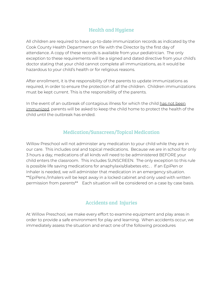#### Health and Hygiene

All children are required to have up-to-date immunization records as indicated by the Cook County Health Department on file with the Director by the first day of attendance. A copy of these records is available from your pediatrician. The only exception to these requirements will be a signed and dated directive from your child's doctor stating that your child cannot complete all immunizations, as it would be hazardous to your child's health or for religious reasons.

After enrollment, it is the responsibility of the parents to update immunizations as required, in order to ensure the protection of all the children. Children immunizations must be kept current. This is the responsibility of the parents.

In the event of an outbreak of contagious illness for which the child has not been immunized, parents will be asked to keep the child home to protect the health of the child until the outbreak has ended.

#### Medication/Sunscreen/Topical Medication

Willow Preschool will not administer any medication to your child while they are in our care. This includes oral and topical medications. Because we are in school for only 3 hours a day, medications of all kinds will need to be administered BEFORE your child enters the classroom. This includes SUNSCREEN. The only exception to this rule is possible life saving medications for anaphylaxis/diabetes etc.. . If an EpiPen or Inhaler is needed, we will administer that medication in an emergency situation. \*\*EpiPens /Inhalers will be kept away in a locked cabinet and only used with written permission from parents\*\* Each situation will be considered on a case by case basis.

#### Accidents and Injuries

At Willow Preschool, we make every effort to examine equipment and play areas in order to provide a safe environment for play and learning. When accidents occur, we immediately assess the situation and enact one of the following procedures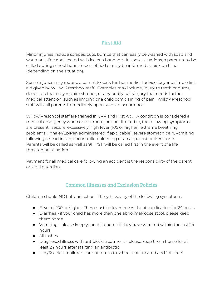#### First Aid

Minor injuries include scrapes, cuts, bumps that can easily be washed with soap and water or saline and treated with ice or a bandage. In these situations, a parent may be called during school hours to be notified or may be informed at pick up time (depending on the situation).

Some injuries may require a parent to seek further medical advice, beyond simple first aid given by Willow Preschool staff. Examples may include, injury to teeth or gums, deep cuts that may require stitches, or any bodily pain/injury that needs further medical attention, such as limping or a child complaining of pain. Willow Preschool staff will call parents immediately upon such an occurrence.

Willow Preschool staff are trained in CPR and First Aid. A condition is considered a medical emergency when one or more, but not limited to, the following symptoms are present: seizure, excessively high fever (105 or higher), extreme breathing problems ( inhaler/EpiPen administered if applicable), severe stomach pain, vomiting following a head injury, uncontrolled bleeding or an apparent broken bone. Parents will be called as well as 911. \*911 will be called first in the event of a life threatening situation\*

Payment for all medical care following an accident is the responsibility of the parent or legal guardian.

#### Common Illnesses and Exclusion Policies

Children should NOT attend school if they have any of the following symptoms:

- Fever of 100 or higher. They must be fever free without medication for 24 hours
- Diarrhea if your child has more than one abnormal/loose stool, please keep them home
- Vomiting please keep your child home if they have vomited within the last 24 hours
- All rashes
- Diagnosed illness with antibiotic treatment please keep them home for at least 24 hours after starting an antibiotic
- Lice/Scabies children cannot return to school until treated and "nit-free"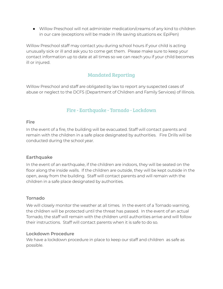● Willow Preschool will not administer medication/creams of any kind to children in our care (exceptions will be made in life saving situations ex: EpiPen)

Willow Preschool staff may contact you during school hours if your child is acting unusually sick or ill and ask you to come get them. Please make sure to keep your contact information up to date at all times so we can reach you if your child becomes ill or injured.

#### Mandated Reporting

Willow Preschool and staff are obligated by law to report any suspected cases of abuse or neglect to the DCFS (Department of Children and Family Services) of Illinois.

#### Fire - Earthquake - Tornado - Lockdown

#### **Fire**

In the event of a fire, the building will be evacuated. Staff will contact parents and remain with the children in a safe place designated by authorities. Fire Drills will be conducted during the school year.

#### **Earthquake**

In the event of an earthquake, if the children are indoors, they will be seated on the floor along the inside walls. If the children are outside, they will be kept outside in the open, away from the building. Staff will contact parents and will remain with the children in a safe place designated by authorities.

#### **Tornado**

We will closely monitor the weather at all times. In the event of a Tornado warning, the children will be protected until the threat has passed. In the event of an actual Tornado, the staff will remain with the children until authorities arrive and will follow their instructions. Staff will contact parents when it is safe to do so.

#### **Lockdown Procedure**

We have a lockdown procedure in place to keep our staff and children as safe as possible.